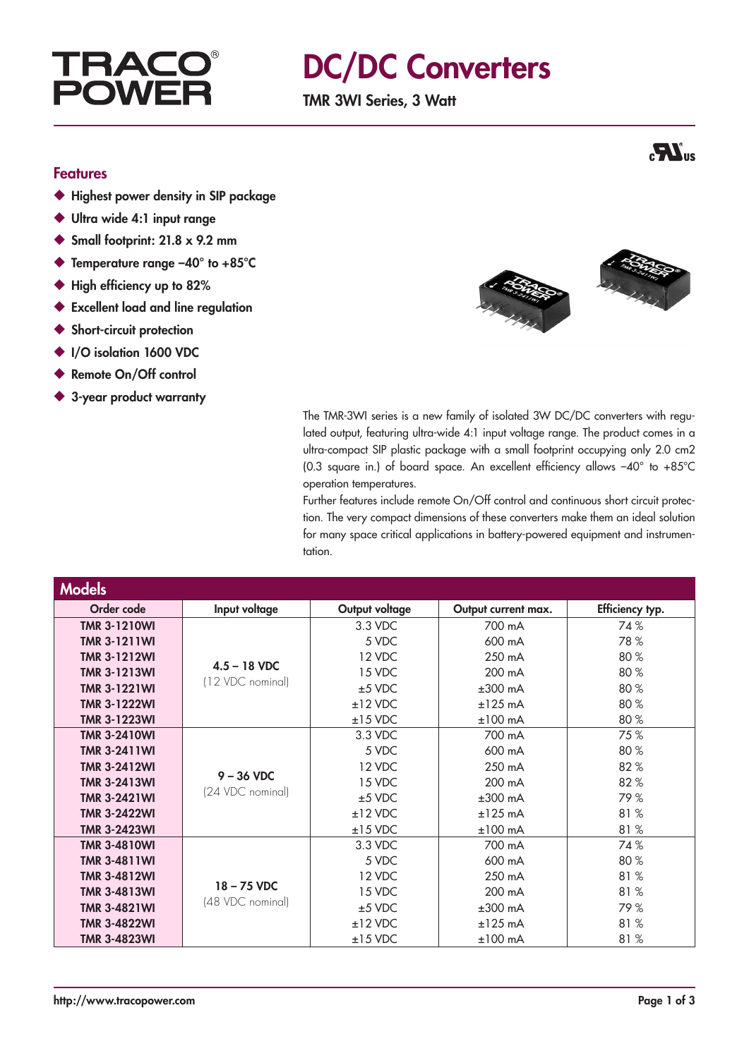# **TRAC POWF**

# DC/DC Converters

TMR 3WI Series, 3 Watt

### Features

- ◆ Highest power density in SIP package
- ◆ Ultra wide 4:1 input range
- $\blacklozenge$  Small footprint: 21.8 x 9.2 mm
- ◆ Temperature range –40° to +85°C
- ◆ High efficiency up to 82%
- ◆ Excellent load and line regulation
- ◆ Short-circuit protection
- ◆ I/O isolation 1600 VDC
- ◆ Remote On/Off control
- ◆ 3-year product warranty



The TMR-3WI series is a new family of isolated 3W DC/DC converters with regulated output, featuring ultra-wide 4:1 input voltage range. The product comes in a ultra-compact SIP plastic package with a small footprint occupying only 2.0 cm2 (0.3 square in.) of board space. An excellent efficiency allows –40° to +85°C operation temperatures.

Further features include remote On/Off control and continuous short circuit protection. The very compact dimensions of these converters make them an ideal solution for many space critical applications in battery-powered equipment and instrumentation.

| <b>Models</b>       |                                    |                |                     |                 |
|---------------------|------------------------------------|----------------|---------------------|-----------------|
| Order code          | Input voltage                      | Output voltage | Output current max. | Efficiency typ. |
| <b>TMR 3-1210WI</b> | $4.5 - 18$ VDC<br>(12 VDC nominal) | 3.3 VDC        | 700 mA              | 74%             |
| <b>TMR 3-1211WI</b> |                                    | 5 VDC          | 600 mA              | 78%             |
| <b>TMR 3-1212WI</b> |                                    | 12 VDC         | 250 mA              | 80%             |
| <b>TMR 3-1213WI</b> |                                    | 15 VDC         | 200 mA              | 80%             |
| <b>TMR 3-1221WI</b> |                                    | $±5$ VDC       | $±300$ mA           | 80%             |
| <b>TMR 3-1222WI</b> |                                    | $±12$ VDC      | $±125$ mA           | 80%             |
| <b>TMR 3-1223WI</b> |                                    | $±15$ VDC      | $±100$ mA           | 80%             |
| <b>TMR 3-2410WI</b> | $9 - 36$ VDC<br>(24 VDC nominal)   | 3.3 VDC        | 700 mA              | 75%             |
| <b>TMR 3-2411WI</b> |                                    | 5 VDC          | 600 mA              | 80%             |
| <b>TMR 3-2412WI</b> |                                    | 12 VDC         | 250 mA              | 82%             |
| <b>TMR 3-2413WI</b> |                                    | 15 VDC         | 200 mA              | 82%             |
| <b>TMR 3-2421WI</b> |                                    | $±5$ VDC       | $±300$ mA           | 79%             |
| <b>TMR 3-2422WI</b> |                                    | $±12$ VDC      | $±125$ mA           | 81%             |
| <b>TMR 3-2423WI</b> |                                    | $±15$ VDC      | $±100$ mA           | 81%             |
| <b>TMR 3-4810WI</b> | $18 - 75$ VDC                      | 3.3 VDC        | 700 mA              | 74%             |
| <b>TMR 3-4811WI</b> |                                    | 5 VDC          | 600 mA              | 80%             |
| <b>TMR 3-4812WI</b> |                                    | 12 VDC         | 250 mA              | 81%             |
| <b>TMR 3-4813WI</b> |                                    | 15 VDC         | 200 mA              | 81%             |
| <b>TMR 3-4821WI</b> | (48 VDC nominal)                   | $±5$ VDC       | $±300$ mA           | 79%             |
| <b>TMR 3-4822WI</b> |                                    | $±12$ VDC      | $±125$ mA           | 81%             |
| <b>TMR 3-4823WI</b> |                                    | $±15$ VDC      | $±100$ mA           | 81%             |

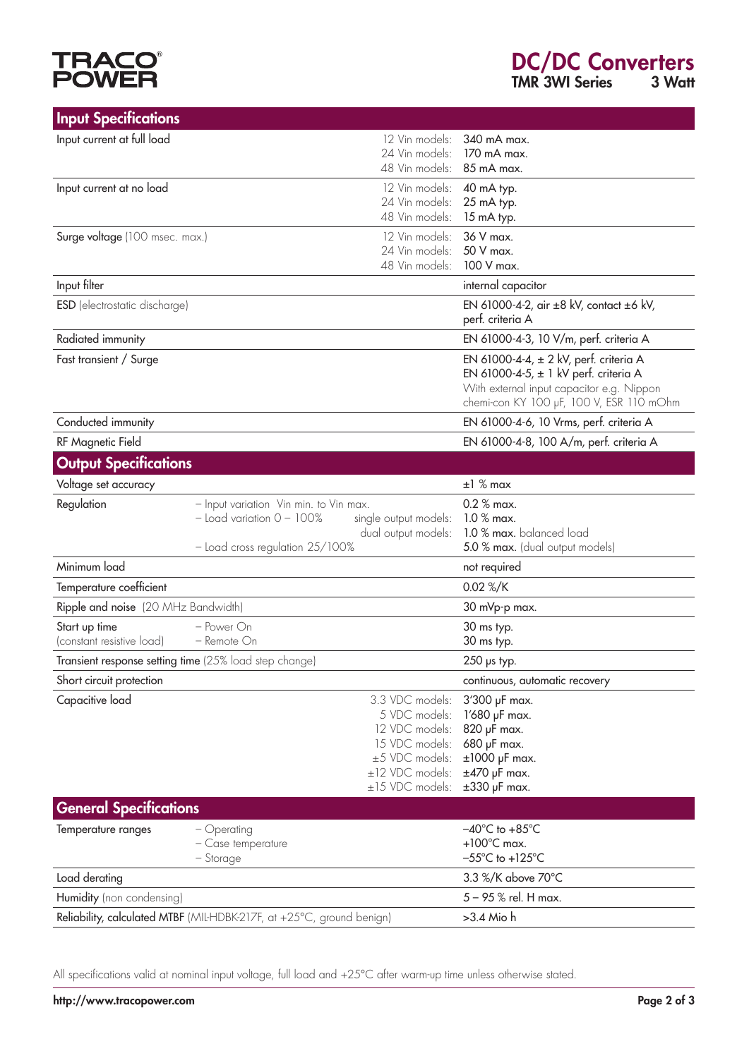# **TRACO<sup>®</sup>**<br>POWER

| <b>Input Specifications</b>                                           |                                        |                                  |                                                                                       |
|-----------------------------------------------------------------------|----------------------------------------|----------------------------------|---------------------------------------------------------------------------------------|
| Input current at full load                                            |                                        | 12 Vin models:                   | 340 mA max.                                                                           |
|                                                                       |                                        | 24 Vin models:<br>48 Vin models: | 170 mA max.<br>85 mA max.                                                             |
| Input current at no load                                              |                                        | 12 Vin models:                   | 40 mA typ.                                                                            |
|                                                                       |                                        | 24 Vin models:                   | 25 mA typ.                                                                            |
|                                                                       |                                        | 48 Vin models:                   | 15 mA typ.                                                                            |
| 12 Vin models:<br>Surge voltage (100 msec. max.)                      |                                        | 36 V max.                        |                                                                                       |
|                                                                       |                                        | 24 Vin models:<br>48 Vin models: | 50 V max.<br>100 V max.                                                               |
| Input filter                                                          |                                        |                                  | internal capacitor                                                                    |
| <b>ESD</b> (electrostatic discharge)                                  |                                        |                                  | EN 61000-4-2, air ±8 kV, contact ±6 kV,                                               |
|                                                                       |                                        |                                  | perf. criteria A                                                                      |
| Radiated immunity                                                     |                                        |                                  | EN 61000-4-3, 10 V/m, perf. criteria A                                                |
| Fast transient / Surge                                                |                                        |                                  | EN 61000-4-4, ± 2 kV, perf. criteria A                                                |
|                                                                       |                                        |                                  | EN 61000-4-5, $\pm$ 1 kV perf. criteria A                                             |
|                                                                       |                                        |                                  | With external input capacitor e.g. Nippon<br>chemi-con KY 100 µF, 100 V, ESR 110 mOhm |
| Conducted immunity                                                    |                                        |                                  | EN 61000-4-6, 10 Vrms, perf. criteria A                                               |
| RF Magnetic Field                                                     |                                        |                                  | EN 61000-4-8, 100 A/m, perf. criteria A                                               |
| <b>Output Specifications</b>                                          |                                        |                                  |                                                                                       |
| Voltage set accuracy                                                  |                                        |                                  | $±1$ % max                                                                            |
| Regulation                                                            | - Input variation Vin min. to Vin max. |                                  | $0.2 %$ max.                                                                          |
|                                                                       | $-$ Load variation $0 - 100\%$         | single output models:            | $1.0\%$ max.<br>1.0 % max. balanced load                                              |
|                                                                       | - Load cross regulation 25/100%        | dual output models:              | 5.0 % max. (dual output models)                                                       |
| Minimum load                                                          |                                        |                                  | not required                                                                          |
| Temperature coefficient                                               |                                        |                                  | 0.02 %/K                                                                              |
| Ripple and noise (20 MHz Bandwidth)                                   |                                        |                                  | 30 mVp-p max.                                                                         |
| Start up time                                                         | - Power On                             |                                  | 30 ms typ.                                                                            |
| (constant resistive load)                                             | $-$ Remote $On$                        |                                  | 30 ms typ.                                                                            |
| Transient response setting time (25% load step change)                |                                        |                                  | $250$ µs typ.                                                                         |
| Short circuit protection                                              |                                        |                                  | continuous, automatic recovery                                                        |
| Capacitive load                                                       |                                        | 3.3 VDC models:                  | 3'300 µF max.                                                                         |
|                                                                       |                                        | 5 VDC models:<br>12 VDC models:  | 1'680 µF max.                                                                         |
|                                                                       |                                        | 15 VDC models:                   | 820 µF max.<br>680 µF max.                                                            |
|                                                                       |                                        | $\pm$ 5 VDC models:              | $±1000$ µF max.                                                                       |
|                                                                       |                                        | ±12 VDC models:                  | $±470$ µF max.                                                                        |
|                                                                       |                                        | ±15 VDC models:                  | $\pm 330$ µF max.                                                                     |
| <b>General Specifications</b>                                         |                                        |                                  |                                                                                       |
| Temperature ranges                                                    | - Operating                            |                                  | $-40^{\circ}$ C to $+85^{\circ}$ C                                                    |
|                                                                       | - Case temperature<br>– Storage        |                                  | $+100^{\circ}$ C max.<br>$-55^{\circ}$ C to +125 $^{\circ}$ C                         |
| Load derating                                                         |                                        |                                  | 3.3 %/K above 70°C                                                                    |
| Humidity (non condensing)                                             |                                        |                                  | 5 - 95 % rel. H max.                                                                  |
| Reliability, calculated MTBF (MIL-HDBK-217F, at +25°C, ground benign) |                                        |                                  | >3.4 Mio h                                                                            |

All specifications valid at nominal input voltage, full load and +25°C after warm-up time unless otherwise stated.